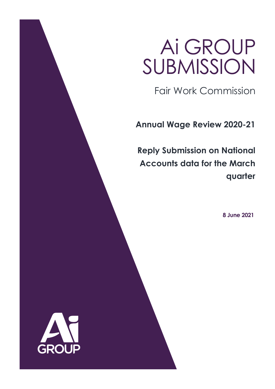# Ai GROUP SUBMISSION

Fair Work Commission

**Annual Wage Review 2020-21**

**Reply Submission on National Accounts data for the March quarter**

**8 June 2021**

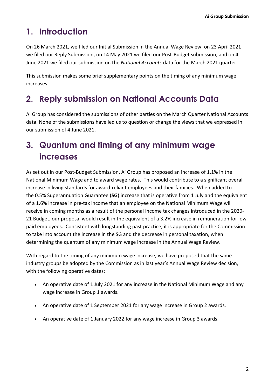# **1. Introduction**

On 26 March 2021, we filed our Initial Submission in the Annual Wage Review, on 23 April 2021 we filed our Reply Submission, on 14 May 2021 we filed our Post-Budget submission, and on 4 June 2021 we filed our submission on the *National Accounts* data for the March 2021 quarter.

This submission makes some brief supplementary points on the timing of any minimum wage increases.

## **2. Reply submission on National Accounts Data**

Ai Group has considered the submissions of other parties on the March Quarter National Accounts data. None of the submissions have led us to question or change the views that we expressed in our submission of 4 June 2021.

# **3. Quantum and timing of any minimum wage increases**

As set out in our Post-Budget Submission, Ai Group has proposed an increase of 1.1% in the National Minimum Wage and to award wage rates. This would contribute to a significant overall increase in living standards for award-reliant employees and their families. When added to the 0.5% Superannuation Guarantee (**SG**) increase that is operative from 1 July and the equivalent of a 1.6% increase in pre-tax income that an employee on the National Minimum Wage will receive in coming months as a result of the personal income tax changes introduced in the 2020- 21 Budget, our proposal would result in the equivalent of a 3.2% increase in remuneration for low paid employees. Consistent with longstanding past practice, it is appropriate for the Commission to take into account the increase in the SG and the decrease in personal taxation, when determining the quantum of any minimum wage increase in the Annual Wage Review.

With regard to the timing of any minimum wage increase, we have proposed that the same industry groups be adopted by the Commission as in last year's Annual Wage Review decision, with the following operative dates:

- An operative date of 1 July 2021 for any increase in the National Minimum Wage and any wage increase in Group 1 awards.
- An operative date of 1 September 2021 for any wage increase in Group 2 awards.
- An operative date of 1 January 2022 for any wage increase in Group 3 awards.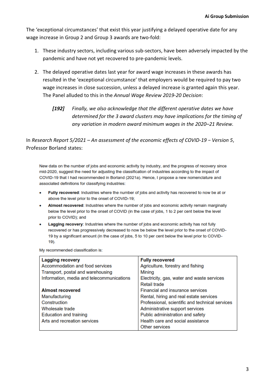The 'exceptional circumstances' that exist this year justifying a delayed operative date for any wage increase in Group 2 and Group 3 awards are two-fold:

- 1. These industry sectors, including various sub-sectors, have been adversely impacted by the pandemic and have not yet recovered to pre-pandemic levels.
- 2. The delayed operative dates last year for award wage increases in these awards has resulted in the 'exceptional circumstance' that employers would be required to pay two wage increases in close succession, unless a delayed increase is granted again this year. The Panel alluded to this in the *Annual Wage Review 2019-20 Decision*:
	- *[192] Finally, we also acknowledge that the different operative dates we have determined for the 3 award clusters may have implications for the timing of any variation in modern award minimum wages in the 2020–21 Review.*

In *Research Report 5/2021 – An assessment of the economic effects of COVID-19 − Version 5*, Professor Borland states:

New data on the number of jobs and economic activity by industry, and the progress of recovery since mid-2020, suggest the need for adjusting the classification of industries according to the impact of COVID-19 that I had recommended in Borland (2021a). Hence, I propose a new nomenclature and associated definitions for classifying industries:

- Fully recovered: Industries where the number of jobs and activity has recovered to now be at or above the level prior to the onset of COVID-19;
- Almost recovered: Industries where the number of jobs and economic activity remain marginally below the level prior to the onset of COVID (in the case of jobs, 1 to 2 per cent below the level prior to COVID); and
- Lagging recovery: Industries where the number of jobs and economic activity has not fully recovered or has progressively decreased to now be below the level prior to the onset of COVID-19 by a significant amount (in the case of jobs, 5 to 10 per cent below the level prior to COVID-19).

My recommended classification is:

| <b>Lagging recovery</b>                   | <b>Fully recovered</b>                          |
|-------------------------------------------|-------------------------------------------------|
| Accommodation and food services           | Agriculture, forestry and fishing               |
| Transport, postal and warehousing         | Mining                                          |
| Information, media and telecommunications | Electricity, gas, water and waste services      |
|                                           | Retail trade                                    |
| <b>Almost recovered</b>                   | <b>Financial and insurance services</b>         |
| Manufacturing                             | Rental, hiring and real estate services         |
| Construction                              | Professional, scientific and technical services |
| Wholesale trade                           | Administrative support services                 |
| <b>Education and training</b>             | Public administration and safety                |
| Arts and recreation services              | Health care and social assistance               |
|                                           | Other services                                  |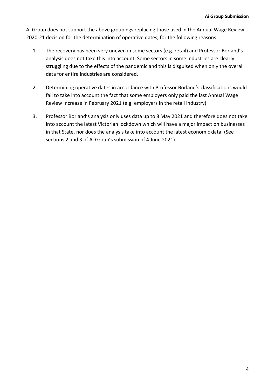Ai Group does not support the above groupings replacing those used in the Annual Wage Review 2020-21 decision for the determination of operative dates, for the following reasons:

- 1. The recovery has been very uneven in some sectors (e.g. retail) and Professor Borland's analysis does not take this into account. Some sectors in some industries are clearly struggling due to the effects of the pandemic and this is disguised when only the overall data for entire industries are considered.
- 2. Determining operative dates in accordance with Professor Borland's classifications would fail to take into account the fact that some employers only paid the last Annual Wage Review increase in February 2021 (e.g. employers in the retail industry).
- 3. Professor Borland's analysis only uses data up to 8 May 2021 and therefore does not take into account the latest Victorian lockdown which will have a major impact on businesses in that State, nor does the analysis take into account the latest economic data. (See sections 2 and 3 of Ai Group's submission of 4 June 2021).